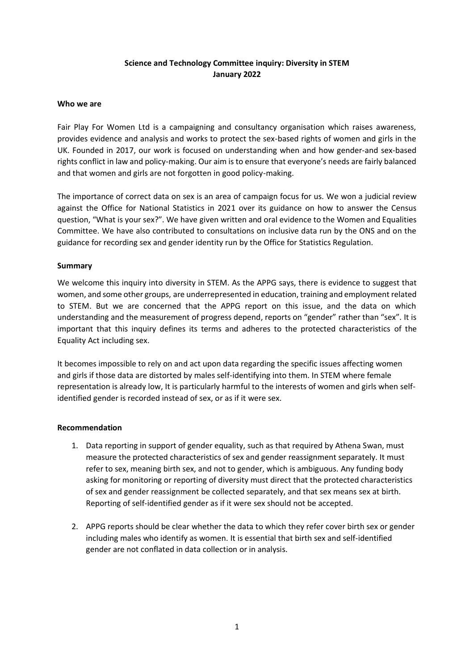# **Science and Technology Committee inquiry: Diversity in STEM January 2022**

### **Who we are**

Fair Play For Women Ltd is a campaigning and consultancy organisation which raises awareness, provides evidence and analysis and works to protect the sex-based rights of women and girls in the UK. Founded in 2017, our work is focused on understanding when and how gender-and sex-based rights conflict in law and policy-making. Our aim is to ensure that everyone's needs are fairly balanced and that women and girls are not forgotten in good policy-making.

The importance of correct data on sex is an area of campaign focus for us. We won a judicial review against the Office for National Statistics in 2021 over its guidance on how to answer the Census question, "What is your sex?". We have given written and oral evidence to the Women and Equalities Committee. We have also contributed to consultations on inclusive data run by the ONS and on the guidance for recording sex and gender identity run by the Office for Statistics Regulation.

### **Summary**

We welcome this inquiry into diversity in STEM. As the APPG says, there is evidence to suggest that women, and some other groups[, are underrepresented in education, training and employment related](https://royalsociety.org/-/media/Royal_Society_Content/policy/projects/leading-way-diversity/picture-uk-scientific-workforce/070314-diversity-report.pdf)  [to STEM.](https://royalsociety.org/-/media/Royal_Society_Content/policy/projects/leading-way-diversity/picture-uk-scientific-workforce/070314-diversity-report.pdf) But we are concerned that the APPG report on this issue, and the data on which understanding and the measurement of progress depend, reports on "gender" rather than "sex". It is important that this inquiry defines its terms and adheres to the protected characteristics of the Equality Act including sex.

It becomes impossible to rely on and act upon data regarding the specific issues affecting women and girls if those data are distorted by males self-identifying into them. In STEM where female representation is already low, It is particularly harmful to the interests of women and girls when selfidentified gender is recorded instead of sex, or as if it were sex.

#### **Recommendation**

- 1. Data reporting in support of gender equality, such as that required by Athena Swan, must measure the protected characteristics of sex and gender reassignment separately. It must refer to sex, meaning birth sex, and not to gender, which is ambiguous. Any funding body asking for monitoring or reporting of diversity must direct that the protected characteristics of sex and gender reassignment be collected separately, and that sex means sex at birth. Reporting of self-identified gender as if it were sex should not be accepted.
- 2. APPG reports should be clear whether the data to which they refer cover birth sex or gender including males who identify as women. It is essential that birth sex and self-identified gender are not conflated in data collection or in analysis.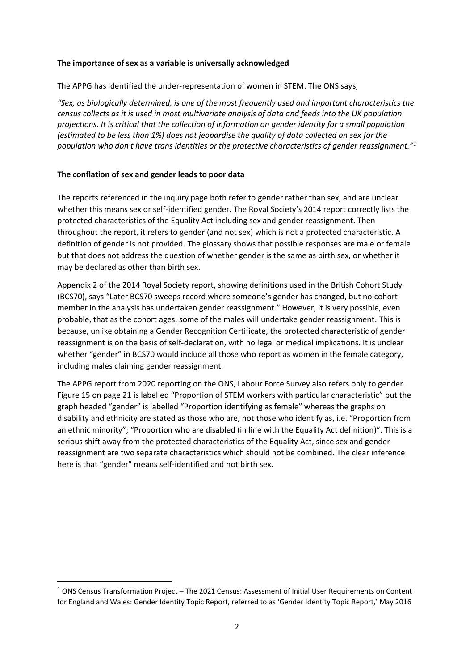### **The importance of sex as a variable is universally acknowledged**

The APPG has identified the under-representation of women in STEM. The ONS says,

*"Sex, as biologically determined, is one of the most frequently used and important characteristics the census collects as it is used in most multivariate analysis of data and feeds into the UK population projections. It is critical that the collection of information on gender identity for a small population (estimated to be less than 1%) does not jeopardise the quality of data collected on sex for the population who don't have trans identities or the protective characteristics of gender reassignment."<sup>1</sup>*

## **The conflation of sex and gender leads to poor data**

The reports referenced in the inquiry page both refer to gender rather than sex, and are unclear whether this means sex or self-identified gender. The Royal Society's 2014 report correctly lists the protected characteristics of the Equality Act including sex and gender reassignment. Then throughout the report, it refers to gender (and not sex) which is not a protected characteristic. A definition of gender is not provided. The glossary shows that possible responses are male or female but that does not address the question of whether gender is the same as birth sex, or whether it may be declared as other than birth sex.

Appendix 2 of the 2014 Royal Society report, showing definitions used in the British Cohort Study (BCS70), says "Later BCS70 sweeps record where someone's gender has changed, but no cohort member in the analysis has undertaken gender reassignment." However, it is very possible, even probable, that as the cohort ages, some of the males will undertake gender reassignment. This is because, unlike obtaining a Gender Recognition Certificate, the protected characteristic of gender reassignment is on the basis of self-declaration, with no legal or medical implications. It is unclear whether "gender" in BCS70 would include all those who report as women in the female category, including males claiming gender reassignment.

The APPG report from 2020 reporting on the ONS, Labour Force Survey also refers only to gender. Figure 15 on page 21 is labelled "Proportion of STEM workers with particular characteristic" but the graph headed "gender" is labelled "Proportion identifying as female" whereas the graphs on disability and ethnicity are stated as those who are, not those who identify as, i.e. "Proportion from an ethnic minority"; "Proportion who are disabled (in line with the Equality Act definition)". This is a serious shift away from the protected characteristics of the Equality Act, since sex and gender reassignment are two separate characteristics which should not be combined. The clear inference here is that "gender" means self-identified and not birth sex.

<sup>1</sup> ONS Census Transformation Project – The 2021 Census: Assessment of Initial User Requirements on Content for England and Wales: Gender Identity Topic Report, referred to as 'Gender Identity Topic Report,' May 2016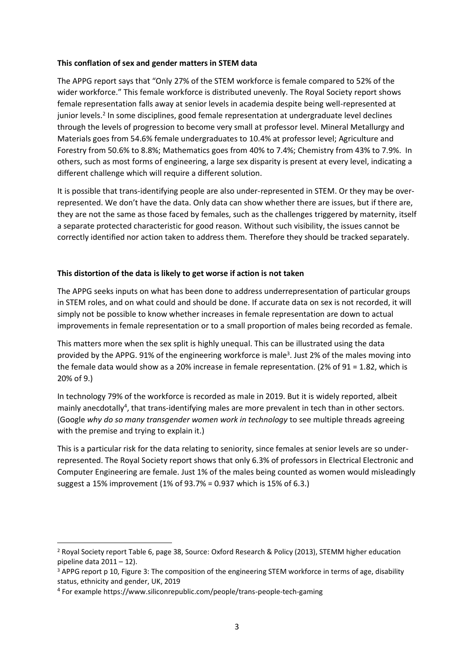### **This conflation of sex and gender matters in STEM data**

The APPG report says that "Only 27% of the STEM workforce is female compared to 52% of the wider workforce." This female workforce is distributed unevenly. The Royal Society report shows female representation falls away at senior levels in academia despite being well-represented at junior levels.<sup>2</sup> In some disciplines, good female representation at undergraduate level declines through the levels of progression to become very small at professor level. Mineral Metallurgy and Materials goes from 54.6% female undergraduates to 10.4% at professor level; Agriculture and Forestry from 50.6% to 8.8%; Mathematics goes from 40% to 7.4%; Chemistry from 43% to 7.9%. In others, such as most forms of engineering, a large sex disparity is present at every level, indicating a different challenge which will require a different solution.

It is possible that trans-identifying people are also under-represented in STEM. Or they may be overrepresented. We don't have the data. Only data can show whether there are issues, but if there are, they are not the same as those faced by females, such as the challenges triggered by maternity, itself a separate protected characteristic for good reason. Without such visibility, the issues cannot be correctly identified nor action taken to address them. Therefore they should be tracked separately.

## **This distortion of the data is likely to get worse if action is not taken**

The APPG seeks inputs on what has been done to address underrepresentation of particular groups in STEM roles, and on what could and should be done. If accurate data on sex is not recorded, it will simply not be possible to know whether increases in female representation are down to actual improvements in female representation or to a small proportion of males being recorded as female.

This matters more when the sex split is highly unequal. This can be illustrated using the data provided by the APPG. 91% of the engineering workforce is male<sup>3</sup>. Just 2% of the males moving into the female data would show as a 20% increase in female representation. (2% of 91 = 1.82, which is 20% of 9.)

In technology 79% of the workforce is recorded as male in 2019. But it is widely reported, albeit mainly anecdotally<sup>4</sup>, that trans-identifying males are more prevalent in tech than in other sectors. (Google *why do so many transgender women work in technology* to see multiple threads agreeing with the premise and trying to explain it.)

This is a particular risk for the data relating to seniority, since females at senior levels are so underrepresented. The Royal Society report shows that only 6.3% of professors in Electrical Electronic and Computer Engineering are female. Just 1% of the males being counted as women would misleadingly suggest a 15% improvement (1% of 93.7% = 0.937 which is 15% of 6.3.)

<sup>&</sup>lt;sup>2</sup> Royal Society report Table 6, page 38, Source: Oxford Research & Policy (2013), STEMM higher education pipeline data 2011 – 12).

<sup>&</sup>lt;sup>3</sup> APPG report p 10, Figure 3: The composition of the engineering STEM workforce in terms of age, disability status, ethnicity and gender, UK, 2019

<sup>4</sup> For example https://www.siliconrepublic.com/people/trans-people-tech-gaming